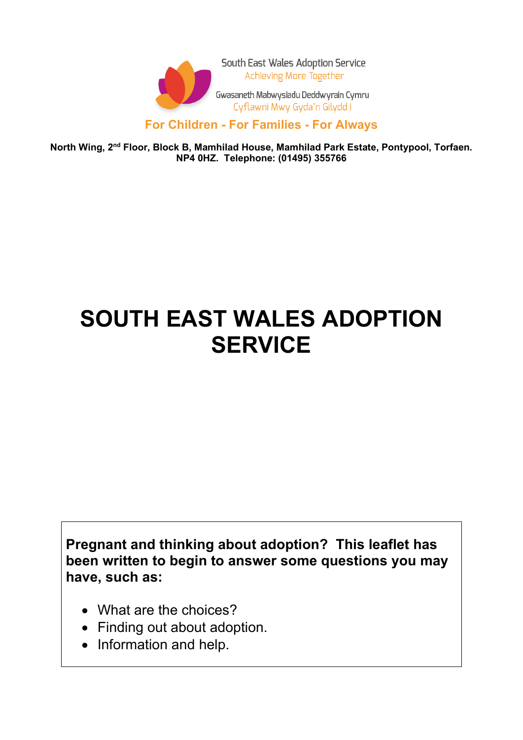

South East Wales Adoption Service Achieving More Together

Gwasaneth Mabwysiadu Deddwyrain Cymru Cyflawni Mwy Gyda'n Gilydd I

#### **For Children - For Families - For Always**

**North Wing, 2nd Floor, Block B, Mamhilad House, Mamhilad Park Estate, Pontypool, Torfaen. NP4 0HZ. Telephone: (01495) 355766**

# **SOUTH EAST WALES ADOPTION SERVICE**

**Pregnant and thinking about adoption? This leaflet has been written to begin to answer some questions you may have, such as:**

- What are the choices?
- Finding out about adoption.
- Information and help.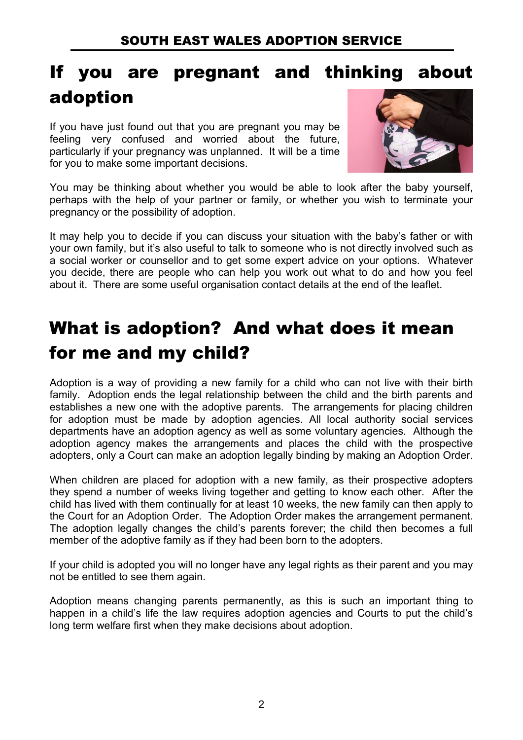### If you are pregnant and thinking about adoption

If you have just found out that you are pregnant you may be feeling very confused and worried about the future, particularly if your pregnancy was unplanned. It will be a time for you to make some important decisions.



You may be thinking about whether you would be able to look after the baby yourself, perhaps with the help of your partner or family, or whether you wish to terminate your pregnancy or the possibility of adoption.

It may help you to decide if you can discuss your situation with the baby's father or with your own family, but it's also useful to talk to someone who is not directly involved such as a social worker or counsellor and to get some expert advice on your options. Whatever you decide, there are people who can help you work out what to do and how you feel about it. There are some useful organisation contact details at the end of the leaflet.

# What is adoption? And what does it mean for me and my child?

Adoption is a way of providing a new family for a child who can not live with their birth family. Adoption ends the legal relationship between the child and the birth parents and establishes a new one with the adoptive parents. The arrangements for placing children for adoption must be made by adoption agencies. All local authority social services departments have an adoption agency as well as some voluntary agencies. Although the adoption agency makes the arrangements and places the child with the prospective adopters, only a Court can make an adoption legally binding by making an Adoption Order.

When children are placed for adoption with a new family, as their prospective adopters they spend a number of weeks living together and getting to know each other. After the child has lived with them continually for at least 10 weeks, the new family can then apply to the Court for an Adoption Order. The Adoption Order makes the arrangement permanent. The adoption legally changes the child's parents forever; the child then becomes a full member of the adoptive family as if they had been born to the adopters.

If your child is adopted you will no longer have any legal rights as their parent and you may not be entitled to see them again.

Adoption means changing parents permanently, as this is such an important thing to happen in a child's life the law requires adoption agencies and Courts to put the child's long term welfare first when they make decisions about adoption.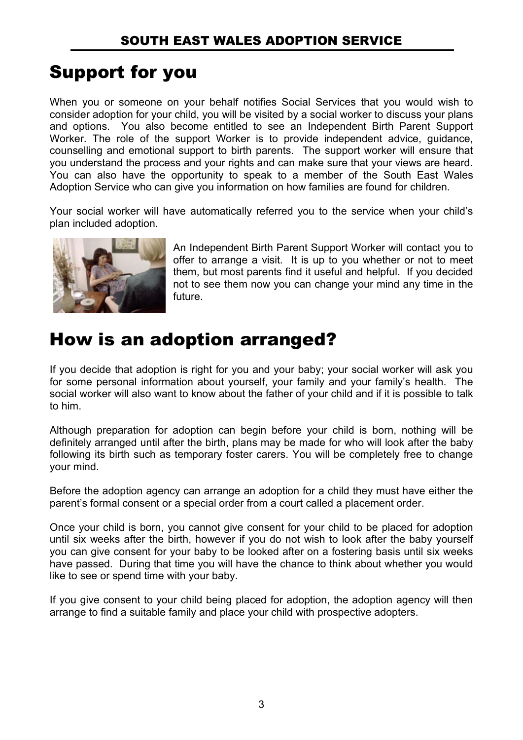# Support for you

When you or someone on your behalf notifies Social Services that you would wish to consider adoption for your child, you will be visited by a social worker to discuss your plans and options. You also become entitled to see an Independent Birth Parent Support Worker. The role of the support Worker is to provide independent advice, guidance, counselling and emotional support to birth parents. The support worker will ensure that you understand the process and your rights and can make sure that your views are heard. You can also have the opportunity to speak to a member of the South East Wales Adoption Service who can give you information on how families are found for children.

Your social worker will have automatically referred you to the service when your child's plan included adoption.



An Independent Birth Parent Support Worker will contact you to offer to arrange a visit. It is up to you whether or not to meet them, but most parents find it useful and helpful. If you decided not to see them now you can change your mind any time in the future.

### How is an adoption arranged?

If you decide that adoption is right for you and your baby; your social worker will ask you for some personal information about yourself, your family and your family's health. The social worker will also want to know about the father of your child and if it is possible to talk to him.

Although preparation for adoption can begin before your child is born, nothing will be definitely arranged until after the birth, plans may be made for who will look after the baby following its birth such as temporary foster carers. You will be completely free to change your mind.

Before the adoption agency can arrange an adoption for a child they must have either the parent's formal consent or a special order from a court called a placement order.

Once your child is born, you cannot give consent for your child to be placed for adoption until six weeks after the birth, however if you do not wish to look after the baby yourself you can give consent for your baby to be looked after on a fostering basis until six weeks have passed. During that time you will have the chance to think about whether you would like to see or spend time with your baby.

If you give consent to your child being placed for adoption, the adoption agency will then arrange to find a suitable family and place your child with prospective adopters.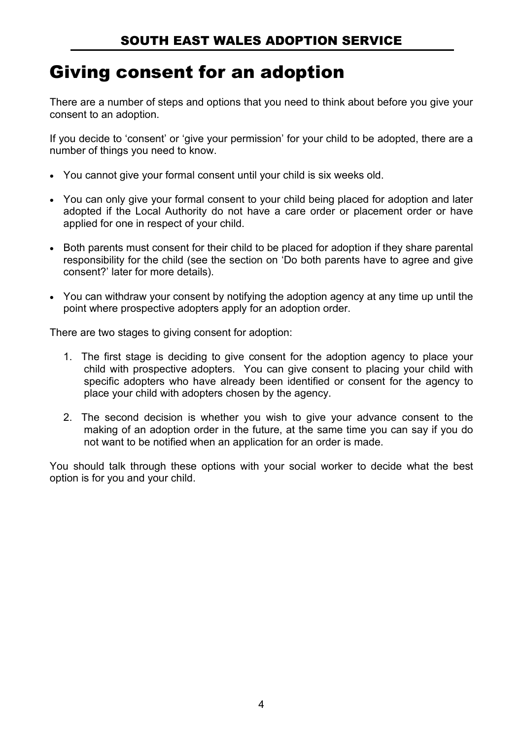### Giving consent for an adoption

There are a number of steps and options that you need to think about before you give your consent to an adoption.

If you decide to 'consent' or 'give your permission' for your child to be adopted, there are a number of things you need to know.

- You cannot give your formal consent until your child is six weeks old.
- You can only give your formal consent to your child being placed for adoption and later adopted if the Local Authority do not have a care order or placement order or have applied for one in respect of your child.
- Both parents must consent for their child to be placed for adoption if they share parental responsibility for the child (see the section on 'Do both parents have to agree and give consent?' later for more details).
- You can withdraw your consent by notifying the adoption agency at any time up until the point where prospective adopters apply for an adoption order.

There are two stages to giving consent for adoption:

- 1. The first stage is deciding to give consent for the adoption agency to place your child with prospective adopters. You can give consent to placing your child with specific adopters who have already been identified or consent for the agency to place your child with adopters chosen by the agency.
- 2. The second decision is whether you wish to give your advance consent to the making of an adoption order in the future, at the same time you can say if you do not want to be notified when an application for an order is made.

You should talk through these options with your social worker to decide what the best option is for you and your child.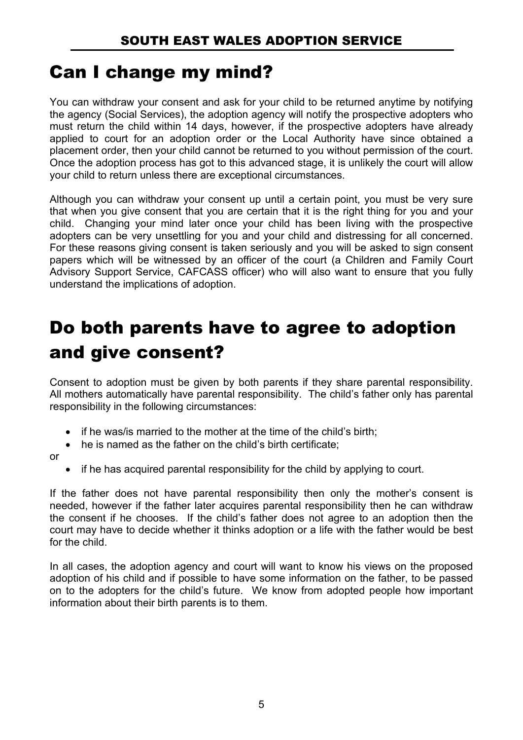#### Can I change my mind?

You can withdraw your consent and ask for your child to be returned anytime by notifying the agency (Social Services), the adoption agency will notify the prospective adopters who must return the child within 14 days, however, if the prospective adopters have already applied to court for an adoption order or the Local Authority have since obtained a placement order, then your child cannot be returned to you without permission of the court. Once the adoption process has got to this advanced stage, it is unlikely the court will allow your child to return unless there are exceptional circumstances.

Although you can withdraw your consent up until a certain point, you must be very sure that when you give consent that you are certain that it is the right thing for you and your child. Changing your mind later once your child has been living with the prospective adopters can be very unsettling for you and your child and distressing for all concerned. For these reasons giving consent is taken seriously and you will be asked to sign consent papers which will be witnessed by an officer of the court (a Children and Family Court Advisory Support Service, CAFCASS officer) who will also want to ensure that you fully understand the implications of adoption.

### Do both parents have to agree to adoption and give consent?

Consent to adoption must be given by both parents if they share parental responsibility. All mothers automatically have parental responsibility. The child's father only has parental responsibility in the following circumstances:

- if he was/is married to the mother at the time of the child's birth:
- he is named as the father on the child's birth certificate;

or

• if he has acquired parental responsibility for the child by applying to court.

If the father does not have parental responsibility then only the mother's consent is needed, however if the father later acquires parental responsibility then he can withdraw the consent if he chooses. If the child's father does not agree to an adoption then the court may have to decide whether it thinks adoption or a life with the father would be best for the child.

In all cases, the adoption agency and court will want to know his views on the proposed adoption of his child and if possible to have some information on the father, to be passed on to the adopters for the child's future. We know from adopted people how important information about their birth parents is to them.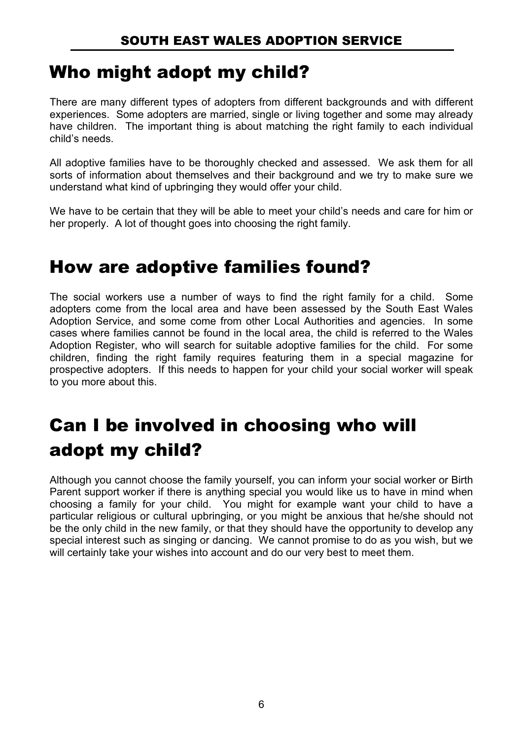### Who might adopt my child?

There are many different types of adopters from different backgrounds and with different experiences. Some adopters are married, single or living together and some may already have children. The important thing is about matching the right family to each individual child's needs.

All adoptive families have to be thoroughly checked and assessed. We ask them for all sorts of information about themselves and their background and we try to make sure we understand what kind of upbringing they would offer your child.

We have to be certain that they will be able to meet your child's needs and care for him or her properly. A lot of thought goes into choosing the right family.

### How are adoptive families found?

The social workers use a number of ways to find the right family for a child. Some adopters come from the local area and have been assessed by the South East Wales Adoption Service, and some come from other Local Authorities and agencies. In some cases where families cannot be found in the local area, the child is referred to the Wales Adoption Register, who will search for suitable adoptive families for the child. For some children, finding the right family requires featuring them in a special magazine for prospective adopters. If this needs to happen for your child your social worker will speak to you more about this.

# Can I be involved in choosing who will adopt my child?

Although you cannot choose the family yourself, you can inform your social worker or Birth Parent support worker if there is anything special you would like us to have in mind when choosing a family for your child. You might for example want your child to have a particular religious or cultural upbringing, or you might be anxious that he/she should not be the only child in the new family, or that they should have the opportunity to develop any special interest such as singing or dancing. We cannot promise to do as you wish, but we will certainly take your wishes into account and do our very best to meet them.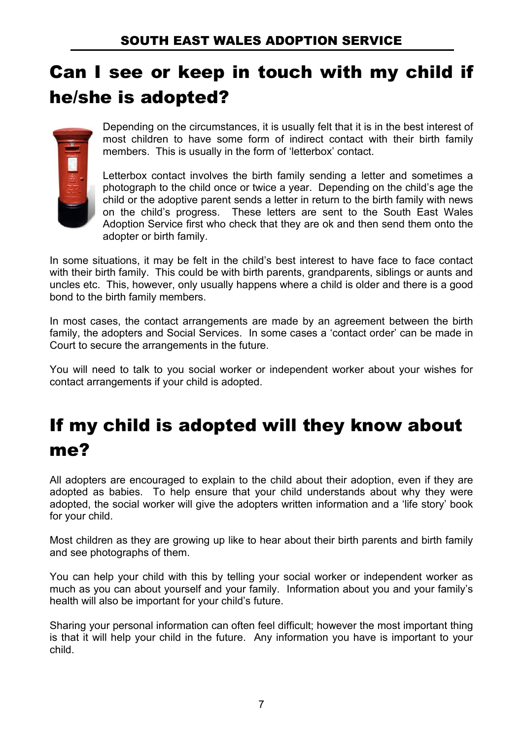# Can I see or keep in touch with my child if he/she is adopted?



Depending on the circumstances, it is usually felt that it is in the best interest of most children to have some form of indirect contact with their birth family members. This is usually in the form of 'letterbox' contact.

Letterbox contact involves the birth family sending a letter and sometimes a photograph to the child once or twice a year. Depending on the child's age the child or the adoptive parent sends a letter in return to the birth family with news on the child's progress. These letters are sent to the South East Wales Adoption Service first who check that they are ok and then send them onto the adopter or birth family.

In some situations, it may be felt in the child's best interest to have face to face contact with their birth family. This could be with birth parents, grandparents, siblings or aunts and uncles etc. This, however, only usually happens where a child is older and there is a good bond to the birth family members.

In most cases, the contact arrangements are made by an agreement between the birth family, the adopters and Social Services. In some cases a 'contact order' can be made in Court to secure the arrangements in the future.

You will need to talk to you social worker or independent worker about your wishes for contact arrangements if your child is adopted.

# If my child is adopted will they know about me?

All adopters are encouraged to explain to the child about their adoption, even if they are adopted as babies. To help ensure that your child understands about why they were adopted, the social worker will give the adopters written information and a 'life story' book for your child.

Most children as they are growing up like to hear about their birth parents and birth family and see photographs of them.

You can help your child with this by telling your social worker or independent worker as much as you can about yourself and your family. Information about you and your family's health will also be important for your child's future.

Sharing your personal information can often feel difficult; however the most important thing is that it will help your child in the future. Any information you have is important to your child.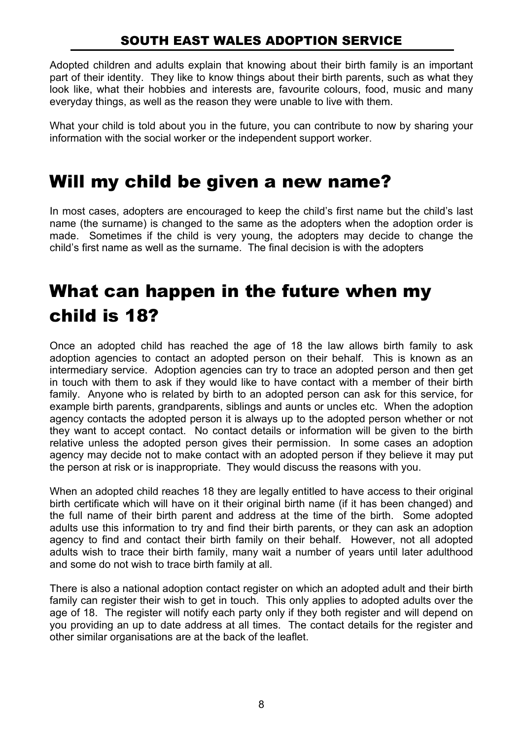#### SOUTH EAST WALES ADOPTION SERVICE

Adopted children and adults explain that knowing about their birth family is an important part of their identity. They like to know things about their birth parents, such as what they look like, what their hobbies and interests are, favourite colours, food, music and many everyday things, as well as the reason they were unable to live with them.

What your child is told about you in the future, you can contribute to now by sharing your information with the social worker or the independent support worker.

#### Will my child be given a new name?

In most cases, adopters are encouraged to keep the child's first name but the child's last name (the surname) is changed to the same as the adopters when the adoption order is made. Sometimes if the child is very young, the adopters may decide to change the child's first name as well as the surname. The final decision is with the adopters

### What can happen in the future when my child is 18?

Once an adopted child has reached the age of 18 the law allows birth family to ask adoption agencies to contact an adopted person on their behalf. This is known as an intermediary service. Adoption agencies can try to trace an adopted person and then get in touch with them to ask if they would like to have contact with a member of their birth family. Anyone who is related by birth to an adopted person can ask for this service, for example birth parents, grandparents, siblings and aunts or uncles etc. When the adoption agency contacts the adopted person it is always up to the adopted person whether or not they want to accept contact. No contact details or information will be given to the birth relative unless the adopted person gives their permission. In some cases an adoption agency may decide not to make contact with an adopted person if they believe it may put the person at risk or is inappropriate. They would discuss the reasons with you.

When an adopted child reaches 18 they are legally entitled to have access to their original birth certificate which will have on it their original birth name (if it has been changed) and the full name of their birth parent and address at the time of the birth. Some adopted adults use this information to try and find their birth parents, or they can ask an adoption agency to find and contact their birth family on their behalf. However, not all adopted adults wish to trace their birth family, many wait a number of years until later adulthood and some do not wish to trace birth family at all.

There is also a national adoption contact register on which an adopted adult and their birth family can register their wish to get in touch. This only applies to adopted adults over the age of 18. The register will notify each party only if they both register and will depend on you providing an up to date address at all times. The contact details for the register and other similar organisations are at the back of the leaflet.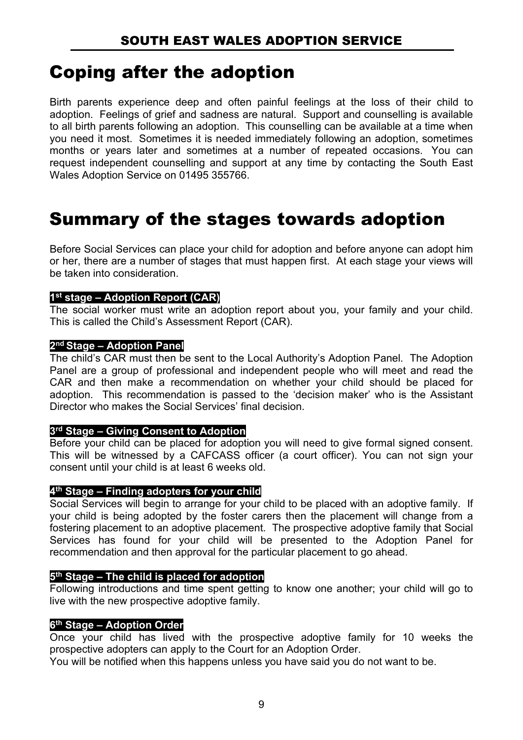### Coping after the adoption

Birth parents experience deep and often painful feelings at the loss of their child to adoption. Feelings of grief and sadness are natural. Support and counselling is available to all birth parents following an adoption. This counselling can be available at a time when you need it most. Sometimes it is needed immediately following an adoption, sometimes months or years later and sometimes at a number of repeated occasions. You can request independent counselling and support at any time by contacting the South East Wales Adoption Service on 01495 355766.

#### Summary of the stages towards adoption

Before Social Services can place your child for adoption and before anyone can adopt him or her, there are a number of stages that must happen first. At each stage your views will be taken into consideration.

#### **1st stage – Adoption Report (CAR)**

The social worker must write an adoption report about you, your family and your child. This is called the Child's Assessment Report (CAR).

#### **2nd Stage – Adoption Panel**

The child's CAR must then be sent to the Local Authority's Adoption Panel. The Adoption Panel are a group of professional and independent people who will meet and read the CAR and then make a recommendation on whether your child should be placed for adoption. This recommendation is passed to the 'decision maker' who is the Assistant Director who makes the Social Services' final decision.

#### **3rd Stage – Giving Consent to Adoption**

Before your child can be placed for adoption you will need to give formal signed consent. This will be witnessed by a CAFCASS officer (a court officer). You can not sign your consent until your child is at least 6 weeks old.

#### **4th Stage – Finding adopters for your child**

Social Services will begin to arrange for your child to be placed with an adoptive family. If your child is being adopted by the foster carers then the placement will change from a fostering placement to an adoptive placement. The prospective adoptive family that Social Services has found for your child will be presented to the Adoption Panel for recommendation and then approval for the particular placement to go ahead.

#### **5th Stage – The child is placed for adoption**

Following introductions and time spent getting to know one another; your child will go to live with the new prospective adoptive family.

#### **6th Stage – Adoption Order**

Once your child has lived with the prospective adoptive family for 10 weeks the prospective adopters can apply to the Court for an Adoption Order.

You will be notified when this happens unless you have said you do not want to be.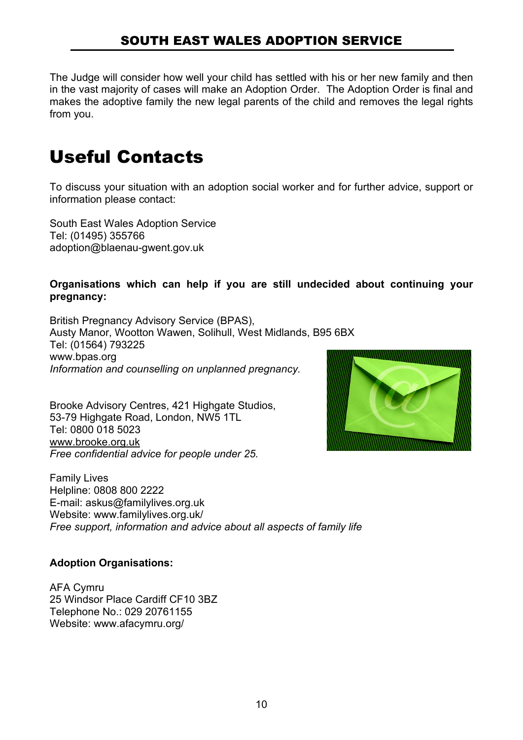#### SOUTH EAST WALES ADOPTION SERVICE

The Judge will consider how well your child has settled with his or her new family and then in the vast majority of cases will make an Adoption Order. The Adoption Order is final and makes the adoptive family the new legal parents of the child and removes the legal rights from you.

#### Useful Contacts

To discuss your situation with an adoption social worker and for further advice, support or information please contact:

South East Wales Adoption Service Tel: (01495) 355766 adoption@blaenau-gwent.gov.uk

#### **Organisations which can help if you are still undecided about continuing your pregnancy:**

British Pregnancy Advisory Service (BPAS), Austy Manor, Wootton Wawen, Solihull, West Midlands, B95 6BX Tel: (01564) 793225 www.bpas.org *Information and counselling on unplanned pregnancy.*

Brooke Advisory Centres, 421 Highgate Studios, 53-79 Highgate Road, London, NW5 1TL Tel: 0800 018 5023 www.brooke.org.uk *Free confidential advice for people under 25.*



Family Lives Helpline: 0808 800 2222 E-mail: askus@familylives.org.uk Website: www.familylives.org.uk/ *Free support, information and advice about all aspects of family life*

#### **Adoption Organisations:**

AFA Cymru 25 Windsor Place Cardiff CF10 3BZ Telephone No.: 029 20761155 Website: www.afacymru.org/